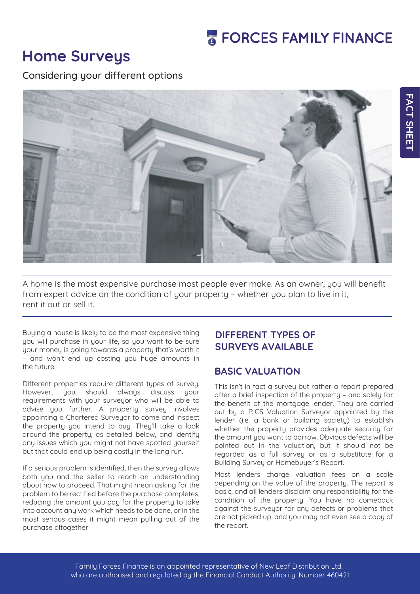# **Home Surveys**

Considering your different options



A home is the most expensive purchase most people ever make. As an owner, you will benefit from expert advice on the condition of your property – whether you plan to live in it, rent it out or sell it.

Buying a house is likely to be the most expensive thing you will purchase in your life, so you want to be sure your money is going towards a property that's worth it – and won't end up costing you huge amounts in the future.

Different properties require different types of survey. However, you should always discuss your requirements with your surveyor who will be able to advise you further. A property survey involves appointing a Chartered Surveyor to come and inspect the property you intend to buy. They'll take a look around the property, as detailed below, and identify any issues which you might not have spotted yourself but that could end up being costly in the long run.

If a serious problem is identified, then the survey allows both you and the seller to reach an understanding about how to proceed. That might mean asking for the problem to be rectified before the purchase completes, reducing the amount you pay for the property to take into account any work which needs to be done, or in the most serious cases it might mean pulling out of the purchase altogether.

#### **DIFFERENT TYPES OF SURVEYS AVAILABLE**

## **BASIC VALUATION**

This isn't in fact a survey but rather a report prepared after a brief inspection of the property – and solely for the benefit of the mortgage lender. They are carried out by a RICS Valuation Surveyor appointed by the lender (i.e. a bank or building society) to establish whether the property provides adequate security for the amount you want to borrow. Obvious defects will be pointed out in the valuation, but it should not be regarded as a full survey or as a substitute for a Building Survey or Homebuyer's Report.

Most lenders charge valuation fees on a scale depending on the value of the property. The report is basic, and all lenders disclaim any responsibility for the condition of the property. You have no comeback against the surveyor for any defects or problems that are not picked up, and you may not even see a copy of the report.